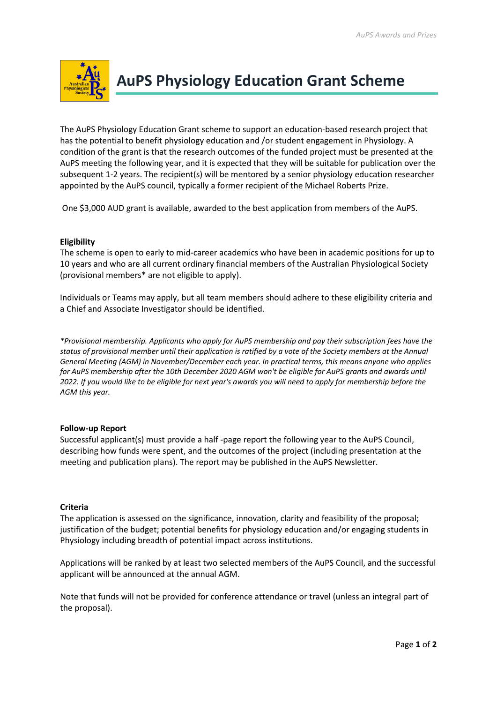

# **AuPS Physiology Education Grant Scheme**

The AuPS Physiology Education Grant scheme to support an education-based research project that has the potential to benefit physiology education and /or student engagement in Physiology. A condition of the grant is that the research outcomes of the funded project must be presented at the AuPS meeting the following year, and it is expected that they will be suitable for publication over the subsequent 1-2 years. The recipient(s) will be mentored by a senior physiology education researcher appointed by the AuPS council, typically a former recipient of the Michael Roberts Prize.

One \$3,000 AUD grant is available, awarded to the best application from members of the AuPS.

## **Eligibility**

The scheme is open to early to mid-career academics who have been in academic positions for up to 10 years and who are all current ordinary financial members of the Australian Physiological Society (provisional members\* are not eligible to apply).

Individuals or Teams may apply, but all team members should adhere to these eligibility criteria and a Chief and Associate Investigator should be identified.

*\*Provisional membership. Applicants who apply for AuPS membership and pay their subscription fees have the status of provisional member until their application is ratified by a vote of the Society members at the Annual General Meeting (AGM) in November/December each year. In practical terms, this means anyone who applies for AuPS membership after the 10th December 2020 AGM won't be eligible for AuPS grants and awards until 2022. If you would like to be eligible for next year's awards you will need to apply for membership before the AGM this year.*

### **Follow-up Report**

Successful applicant(s) must provide a half -page report the following year to the AuPS Council, describing how funds were spent, and the outcomes of the project (including presentation at the meeting and publication plans). The report may be published in the AuPS Newsletter.

### **Criteria**

The application is assessed on the significance, innovation, clarity and feasibility of the proposal; justification of the budget; potential benefits for physiology education and/or engaging students in Physiology including breadth of potential impact across institutions.

Applications will be ranked by at least two selected members of the AuPS Council, and the successful applicant will be announced at the annual AGM.

Note that funds will not be provided for conference attendance or travel (unless an integral part of the proposal).